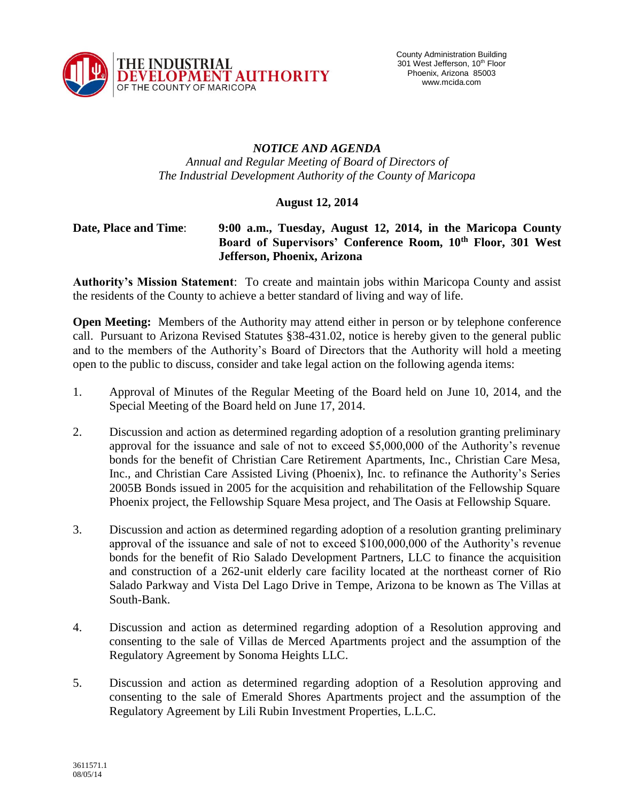

## *NOTICE AND AGENDA Annual and Regular Meeting of Board of Directors of The Industrial Development Authority of the County of Maricopa*

## **August 12, 2014**

## **Date, Place and Time**: **9:00 a.m., Tuesday, August 12, 2014, in the Maricopa County Board of Supervisors' Conference Room, 10th Floor, 301 West Jefferson, Phoenix, Arizona**

**Authority's Mission Statement**: To create and maintain jobs within Maricopa County and assist the residents of the County to achieve a better standard of living and way of life.

**Open Meeting:** Members of the Authority may attend either in person or by telephone conference call. Pursuant to Arizona Revised Statutes §38-431.02, notice is hereby given to the general public and to the members of the Authority's Board of Directors that the Authority will hold a meeting open to the public to discuss, consider and take legal action on the following agenda items:

- 1. Approval of Minutes of the Regular Meeting of the Board held on June 10, 2014, and the Special Meeting of the Board held on June 17, 2014.
- 2. Discussion and action as determined regarding adoption of a resolution granting preliminary approval for the issuance and sale of not to exceed \$5,000,000 of the Authority's revenue bonds for the benefit of Christian Care Retirement Apartments, Inc., Christian Care Mesa, Inc., and Christian Care Assisted Living (Phoenix), Inc. to refinance the Authority's Series 2005B Bonds issued in 2005 for the acquisition and rehabilitation of the Fellowship Square Phoenix project, the Fellowship Square Mesa project, and The Oasis at Fellowship Square.
- 3. Discussion and action as determined regarding adoption of a resolution granting preliminary approval of the issuance and sale of not to exceed \$100,000,000 of the Authority's revenue bonds for the benefit of Rio Salado Development Partners, LLC to finance the acquisition and construction of a 262-unit elderly care facility located at the northeast corner of Rio Salado Parkway and Vista Del Lago Drive in Tempe, Arizona to be known as The Villas at South-Bank.
- 4. Discussion and action as determined regarding adoption of a Resolution approving and consenting to the sale of Villas de Merced Apartments project and the assumption of the Regulatory Agreement by Sonoma Heights LLC.
- 5. Discussion and action as determined regarding adoption of a Resolution approving and consenting to the sale of Emerald Shores Apartments project and the assumption of the Regulatory Agreement by Lili Rubin Investment Properties, L.L.C.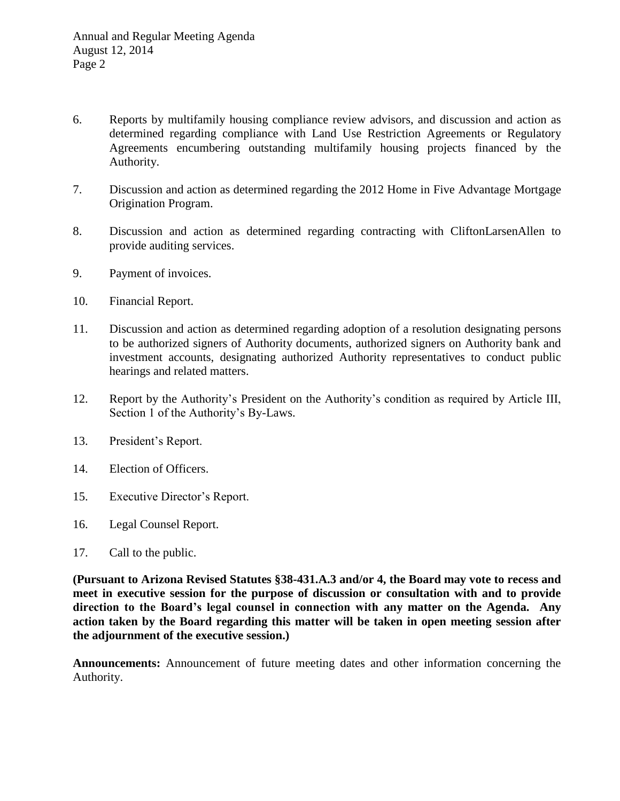- 6. Reports by multifamily housing compliance review advisors, and discussion and action as determined regarding compliance with Land Use Restriction Agreements or Regulatory Agreements encumbering outstanding multifamily housing projects financed by the Authority.
- 7. Discussion and action as determined regarding the 2012 Home in Five Advantage Mortgage Origination Program.
- 8. Discussion and action as determined regarding contracting with CliftonLarsenAllen to provide auditing services.
- 9. Payment of invoices.
- 10. Financial Report.
- 11. Discussion and action as determined regarding adoption of a resolution designating persons to be authorized signers of Authority documents, authorized signers on Authority bank and investment accounts, designating authorized Authority representatives to conduct public hearings and related matters.
- 12. Report by the Authority's President on the Authority's condition as required by Article III, Section 1 of the Authority's By-Laws.
- 13. President's Report.
- 14. Election of Officers.
- 15. Executive Director's Report.
- 16. Legal Counsel Report.
- 17. Call to the public.

**(Pursuant to Arizona Revised Statutes §38-431.A.3 and/or 4, the Board may vote to recess and meet in executive session for the purpose of discussion or consultation with and to provide direction to the Board's legal counsel in connection with any matter on the Agenda. Any action taken by the Board regarding this matter will be taken in open meeting session after the adjournment of the executive session.)**

**Announcements:** Announcement of future meeting dates and other information concerning the Authority.